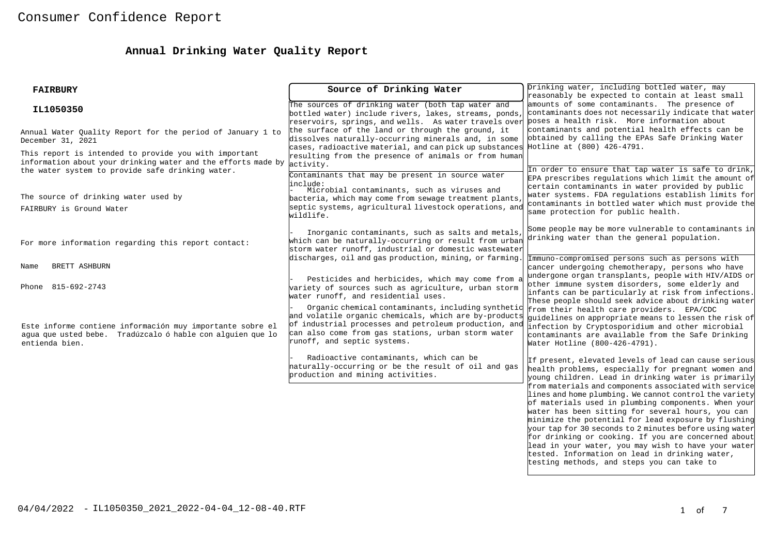# **Annual Drinking Water Quality Report**

| <b>FAIRBURY</b>                                                                                                                                                            | Source of Drinking Water                                                                                                                                                                                                                                  | Drinking water, including bottled water, may<br>reasonably be expected to contain at least small                                                                                                                                                                                    |  |
|----------------------------------------------------------------------------------------------------------------------------------------------------------------------------|-----------------------------------------------------------------------------------------------------------------------------------------------------------------------------------------------------------------------------------------------------------|-------------------------------------------------------------------------------------------------------------------------------------------------------------------------------------------------------------------------------------------------------------------------------------|--|
| IL1050350                                                                                                                                                                  | The sources of drinking water (both tap water and<br>bottled water) include rivers, lakes, streams, ponds,<br>reservoirs, springs, and wells. As water travels over poses a health risk. More information about                                           | amounts of some contaminants. The presence of<br>contaminants does not necessarily indicate that water                                                                                                                                                                              |  |
| Annual Water Quality Report for the period of January 1 to<br>December 31, 2021                                                                                            | the surface of the land or through the ground, it<br>dissolves naturally-occurring minerals and, in some<br>cases, radioactive material, and can pick up substances                                                                                       | contaminants and potential health effects can be<br>obtained by calling the EPAs Safe Drinking Water<br>Hotline at (800) 426-4791.                                                                                                                                                  |  |
| This report is intended to provide you with important<br>information about your drinking water and the efforts made by<br>the water system to provide safe drinking water. | resulting from the presence of animals or from human<br>activity.<br>Contaminants that may be present in source water                                                                                                                                     | In order to ensure that tap water is safe to drink,<br>EPA prescribes requlations which limit the amount of                                                                                                                                                                         |  |
| The source of drinking water used by<br>FAIRBURY is Ground Water                                                                                                           | linclude:<br>Microbial contaminants, such as viruses and<br>bacteria, which may come from sewage treatment plants,<br>septic systems, agricultural livestock operations, and<br>wildlife.                                                                 | certain contaminants in water provided by public<br>water systems. FDA regulations establish limits for<br>contaminants in bottled water which must provide the<br>same protection for public health.                                                                               |  |
| For more information regarding this report contact:                                                                                                                        | Inorganic contaminants, such as salts and metals,<br>which can be naturally-occurring or result from urban<br>storm water runoff, industrial or domestic wastewater                                                                                       | Some people may be more vulnerable to contaminants in<br>drinking water than the general population.                                                                                                                                                                                |  |
| BRETT ASHBURN<br>Name                                                                                                                                                      | discharges, oil and gas production, mining, or farming.                                                                                                                                                                                                   | Immuno-compromised persons such as persons with<br>cancer undergoing chemotherapy, persons who have                                                                                                                                                                                 |  |
| Phone 815-692-2743                                                                                                                                                         | Pesticides and herbicides, which may come from a<br>wariety of sources such as agriculture, urban storm<br>water runoff, and residential uses.                                                                                                            | undergone organ transplants, people with HIV/AIDS or<br>other immune system disorders, some elderly and<br>infants can be particularly at risk from infections.<br>These people should seek advice about drinking water                                                             |  |
| Este informe contiene información muy importante sobre el<br>aqua que usted bebe. Tradúzcalo ó hable con alquien que lo<br>entienda bien.                                  | Organic chemical contaminants, including synthetic<br>and volatile organic chemicals, which are by-products<br>of industrial processes and petroleum production, and<br>can also come from gas stations, urban storm water<br>runoff, and septic systems. | from their health care providers. EPA/CDC<br>quidelines on appropriate means to lessen the risk of<br>infection by Cryptosporidium and other microbial<br>contaminants are available from the Safe Drinking<br>Water Hotline (800-426-4791).                                        |  |
|                                                                                                                                                                            | Radioactive contaminants, which can be<br>haturally-occurring or be the result of oil and gas<br>production and mining activities.                                                                                                                        | If present, elevated levels of lead can cause serious<br>health problems, especially for pregnant women and<br>young children. Lead in drinking water is primarily                                                                                                                  |  |
|                                                                                                                                                                            |                                                                                                                                                                                                                                                           | from materials and components associated with service<br>lines and home plumbing. We cannot control the variety<br>of materials used in plumbing components. When your<br>water has been sitting for several hours, you can<br>minimize the potential for lead exposure by flushing |  |
|                                                                                                                                                                            |                                                                                                                                                                                                                                                           | your tap for 30 seconds to 2 minutes before using water<br>for drinking or cooking. If you are concerned about<br>lead in your water, you may wish to have your water<br>tested. Information on lead in drinking water,<br>testing methods, and steps you can take to               |  |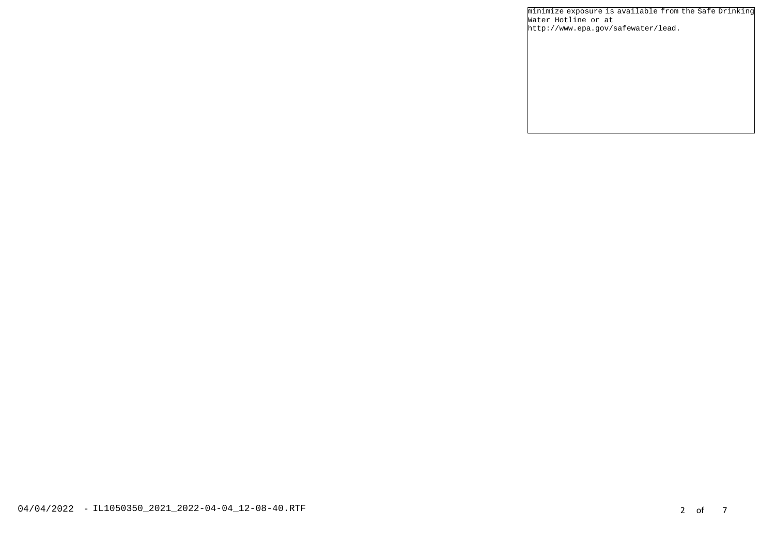minimize exposure is available from the Safe Drinking Water Hotline or at http://www.epa.gov/safewater/lead.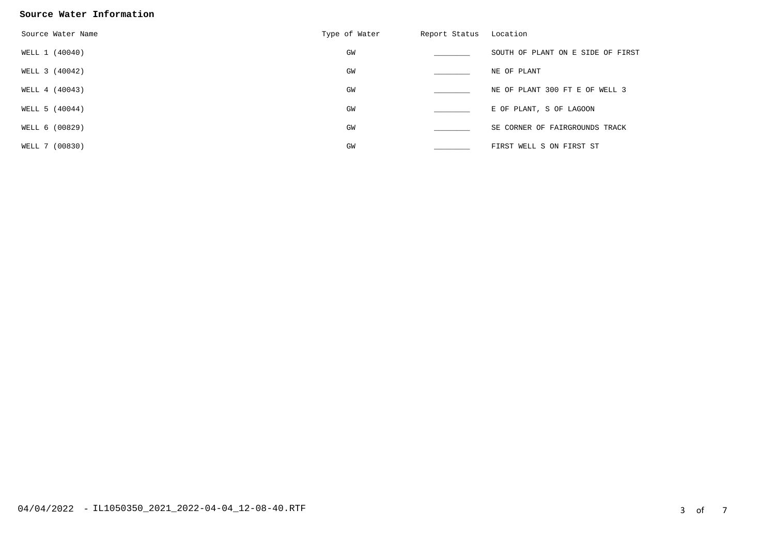### **Source Water Information**

| Source Water Name | Type of Water | Report Status Location |                                   |
|-------------------|---------------|------------------------|-----------------------------------|
| WELL 1 (40040)    | GW            |                        | SOUTH OF PLANT ON E SIDE OF FIRST |
| WELL 3 (40042)    | GW            |                        | NE OF PLANT                       |
| WELL 4 (40043)    | GW            |                        | NE OF PLANT 300 FT E OF WELL 3    |
| WELL 5 (40044)    | GW            |                        | E OF PLANT, S OF LAGOON           |
| WELL 6 (00829)    | GW            |                        | SE CORNER OF FAIRGROUNDS TRACK    |
| WELL 7 (00830)    | GW            |                        | FIRST WELL S ON FIRST ST          |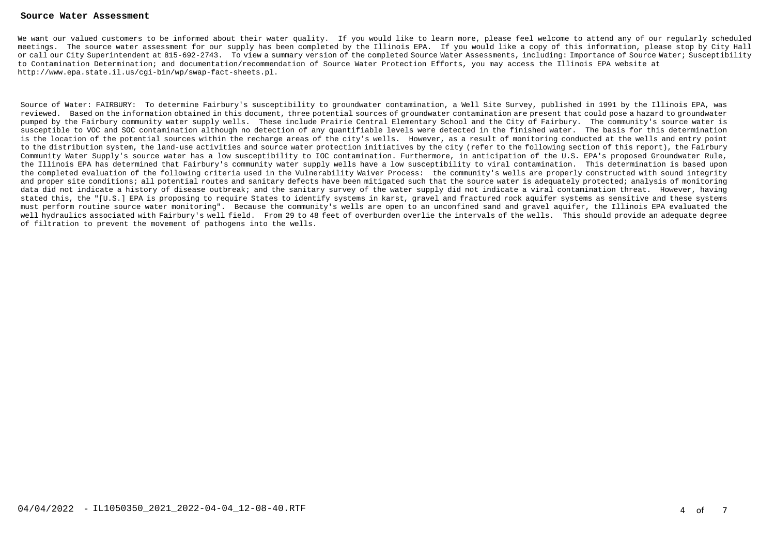#### **Source Water Assessment**

We want our valued customers to be informed about their water quality. If you would like to learn more, please feel welcome to attend any of our regularly scheduled meetings. The source water assessment for our supply has been completed by the Illinois EPA. If you would like a copy of this information, please stop by City Hall or call our City Superintendent at 815-692-2743. To view a summary version of the completed Source Water Assessments, including: Importance of Source Water; Susceptibility to Contamination Determination; and documentation/recommendation of Source Water Protection Efforts, you may access the Illinois EPA website at http://www.epa.state.il.us/cgi-bin/wp/swap-fact-sheets.pl.

Source of Water: FAIRBURY: To determine Fairbury's susceptibility to groundwater contamination, a Well Site Survey, published in 1991 by the Illinois EPA, was reviewed. Based on the information obtained in this document, three potential sources of groundwater contamination are present that could pose a hazard to groundwater pumped by the Fairbury community water supply wells. These include Prairie Central Elementary School and the City of Fairbury. The community's source water is susceptible to VOC and SOC contamination although no detection of any quantifiable levels were detected in the finished water. The basis for this determination is the location of the potential sources within the recharge areas of the city's wells. However, as a result of monitoring conducted at the wells and entry point to the distribution system, the land-use activities and source water protection initiatives by the city (refer to the following section of this report), the Fairbury Community Water Supply's source water has a low susceptibility to IOC contamination. Furthermore, in anticipation of the U.S. EPA's proposed Groundwater Rule, the Illinois EPA has determined that Fairbury's community water supply wells have a low susceptibility to viral contamination. This determination is based upon the completed evaluation of the following criteria used in the Vulnerability Waiver Process: the community's wells are properly constructed with sound integrity and proper site conditions; all potential routes and sanitary defects have been mitigated such that the source water is adequately protected; analysis of monitoring data did not indicate a history of disease outbreak; and the sanitary survey of the water supply did not indicate a viral contamination threat. However, having stated this, the "[U.S.] EPA is proposing to require States to identify systems in karst, gravel and fractured rock aquifer systems as sensitive and these systems must perform routine source water monitoring". Because the community's wells are open to an unconfined sand and gravel aquifer, the Illinois EPA evaluated the well hydraulics associated with Fairbury's well field. From 29 to 48 feet of overburden overlie the intervals of the wells. This should provide an adequate degree of filtration to prevent the movement of pathogens into the wells.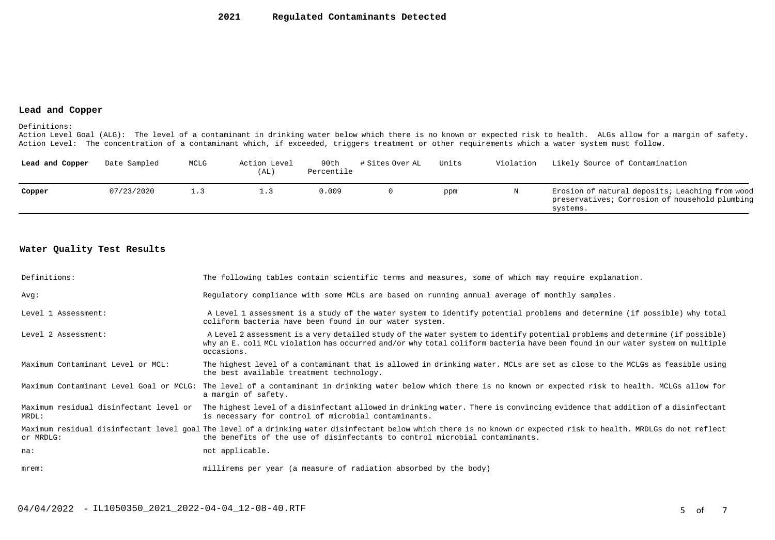#### **Lead and Copper**

Definitions:

Action Level Goal (ALG): The level of a contaminant in drinking water below which there is no known or expected risk to health. ALGs allow for a margin of safety. Action Level: The concentration of a contaminant which, if exceeded, triggers treatment or other requirements which a water system must follow.

| Lead and Copper | Date Sampled | MCLG | Action Level<br>(AL) | 90th<br>Percentile | # Sites Over AL | Units | Violation | Likely Source of Contamination                                                                                |
|-----------------|--------------|------|----------------------|--------------------|-----------------|-------|-----------|---------------------------------------------------------------------------------------------------------------|
| Copper          | 07/23/2020   |      |                      | 0.009              |                 | ppm   | N         | Erosion of natural deposits; Leaching from wood<br>preservatives; Corrosion of household plumbing<br>systems. |

### **Water Quality Test Results**

| Definitions:                                    | The following tables contain scientific terms and measures, some of which may require explanation.                                                                                                                                                                         |
|-------------------------------------------------|----------------------------------------------------------------------------------------------------------------------------------------------------------------------------------------------------------------------------------------------------------------------------|
| Avq:                                            | Regulatory compliance with some MCLs are based on running annual average of monthly samples.                                                                                                                                                                               |
| Level 1 Assessment:                             | A Level 1 assessment is a study of the water system to identify potential problems and determine (if possible) why total<br>coliform bacteria have been found in our water system.                                                                                         |
| Level 2 Assessment:                             | A Level 2 assessment is a very detailed study of the water system to identify potential problems and determine (if possible)<br>why an E. coli MCL violation has occurred and/or why total coliform bacteria have been found in our water system on multiple<br>occasions. |
| Maximum Contaminant Level or MCL:               | The highest level of a contaminant that is allowed in drinking water. MCLs are set as close to the MCLGs as feasible using<br>the best available treatment technology.                                                                                                     |
| Maximum Contaminant Level Goal or MCLG:         | The level of a contaminant in drinking water below which there is no known or expected risk to health. MCLGs allow for<br>a margin of safety.                                                                                                                              |
| Maximum residual disinfectant level or<br>MRDL: | The highest level of a disinfectant allowed in drinking water. There is convincing evidence that addition of a disinfectant<br>is necessary for control of microbial contaminants.                                                                                         |
| or MRDLG:                                       | Maximum residual disinfectant level goal The level of a drinking water disinfectant below which there is no known or expected risk to health. MRDLGs do not reflect<br>the benefits of the use of disinfectants to control microbial contaminants.                         |
| na:                                             | not applicable.                                                                                                                                                                                                                                                            |
| $m$ rem:                                        | millirems per year (a measure of radiation absorbed by the body)                                                                                                                                                                                                           |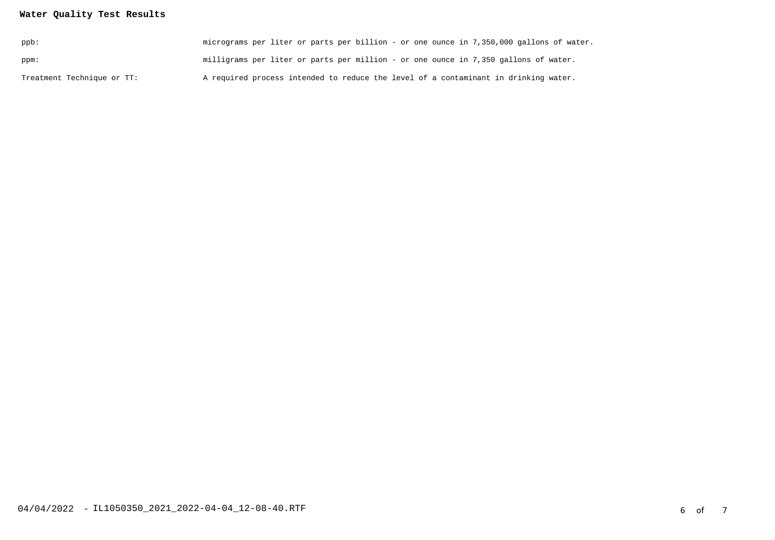## **Water Quality Test Results**

| $ppb$ :                    | micrograms per liter or parts per billion - or one ounce in 7,350,000 gallons of water. |
|----------------------------|-----------------------------------------------------------------------------------------|
| ppm:                       | milligrams per liter or parts per million - or one ounce in 7,350 gallons of water.     |
| Treatment Technique or TT: | A required process intended to reduce the level of a contaminant in drinking water.     |